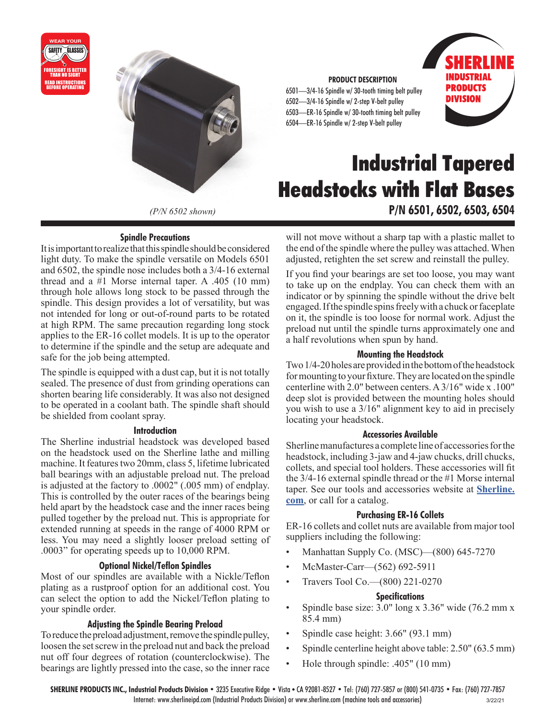



*(P/N 6502 shown)*

## **Spindle Precautions**

It is important to realize that this spindle should be considered light duty. To make the spindle versatile on Models 6501 and 6502, the spindle nose includes both a 3/4-16 external thread and a #1 Morse internal taper. A .405 (10 mm) through hole allows long stock to be passed through the spindle. This design provides a lot of versatility, but was not intended for long or out-of-round parts to be rotated at high RPM. The same precaution regarding long stock applies to the ER-16 collet models. It is up to the operator to determine if the spindle and the setup are adequate and safe for the job being attempted.

The spindle is equipped with a dust cap, but it is not totally sealed. The presence of dust from grinding operations can shorten bearing life considerably. It was also not designed to be operated in a coolant bath. The spindle shaft should be shielded from coolant spray.

#### **Introduction**

The Sherline industrial headstock was developed based on the headstock used on the Sherline lathe and milling machine. It features two 20mm, class 5, lifetime lubricated ball bearings with an adjustable preload nut. The preload is adjusted at the factory to .0002" (.005 mm) of endplay. This is controlled by the outer races of the bearings being held apart by the headstock case and the inner races being pulled together by the preload nut. This is appropriate for extended running at speeds in the range of 4000 RPM or less. You may need a slightly looser preload setting of .0003" for operating speeds up to 10,000 RPM.

#### **Optional Nickel/Teflon Spindles**

Most of our spindles are available with a Nickle/Teflon plating as a rustproof option for an additional cost. You can select the option to add the Nickel/Teflon plating to your spindle order.

## **Adjusting the Spindle Bearing Preload**

To reduce the preload adjustment, remove the spindle pulley, loosen the set screw in the preload nut and back the preload nut off four degrees of rotation (counterclockwise). The bearings are lightly pressed into the case, so the inner race

#### **PRODUCT DESCRIPTION**

6501—3/4-16 Spindle w/ 30-tooth timing belt pulley 6502—3/4-16 Spindle w/ 2-step V-belt pulley 6503—ER-16 Spindle w/ 30-tooth timing belt pulley 6504—ER-16 Spindle w/ 2-step V-belt pulley



# **Industrial Tapered Headstocks with Flat Bases P/N 6501, 6502, 6503, 6504**

will not move without a sharp tap with a plastic mallet to the end of the spindle where the pulley was attached. When adjusted, retighten the set screw and reinstall the pulley.

If you find your bearings are set too loose, you may want to take up on the endplay. You can check them with an indicator or by spinning the spindle without the drive belt engaged. If the spindle spins freely with a chuck or faceplate on it, the spindle is too loose for normal work. Adjust the preload nut until the spindle turns approximately one and a half revolutions when spun by hand.

#### **Mounting the Headstock**

Two 1/4-20 holes are provided in the bottom of the headstock for mounting to your fixture. They are located on the spindle centerline with 2.0" between centers. A 3/16" wide x .100" deep slot is provided between the mounting holes should you wish to use a 3/16" alignment key to aid in precisely locating your headstock.

#### **Accessories Available**

Sherline manufactures a complete line of accessories for the headstock, including 3-jaw and 4-jaw chucks, drill chucks, collets, and special tool holders. These accessories will fit the 3/4-16 external spindle thread or the #1 Morse internal taper. See our tools and accessories website at **[Sherline.](https://www.sherline.com/) [com](https://www.sherline.com/)**, or call for a catalog.

#### **Purchasing ER-16 Collets**

ER-16 collets and collet nuts are available from major tool suppliers including the following:

- Manhattan Supply Co. (MSC)—(800) 645-7270
- McMaster-Carr—(562) 692-5911
- Travers Tool Co.—(800) 221-0270

#### **Specifications**

- Spindle base size: 3.0" long x 3.36" wide (76.2 mm x 85.4 mm)
- Spindle case height: 3.66" (93.1 mm)
- Spindle centerline height above table: 2.50" (63.5 mm)
- Hole through spindle: .405" (10 mm)